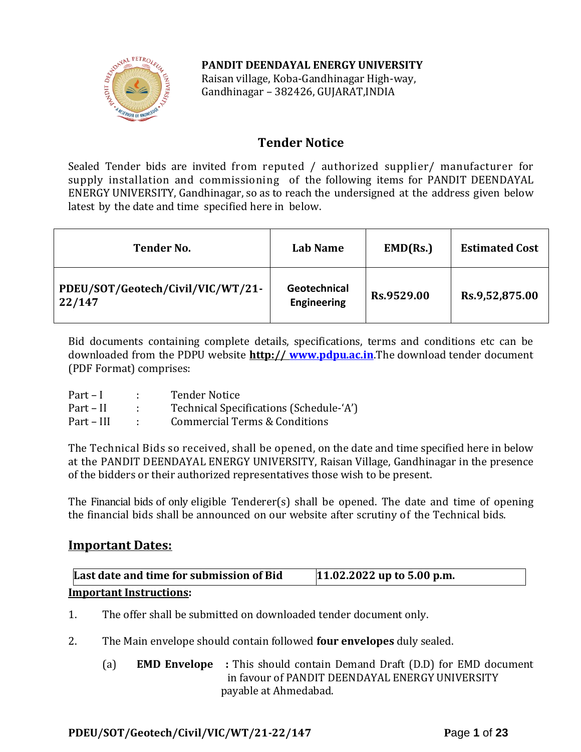### **PANDIT DEENDAYAL ENERGY UNIVERSITY**



Raisan village, Koba-Gandhinagar High-way, Gandhinagar – 382426, GUJARAT,INDIA

## **Tender Notice**

Sealed Tender bids are invited from reputed / authorized supplier/ manufacturer for supply installation and commissioning of the following items for PANDIT DEENDAYAL ENERGY UNIVERSITY, Gandhinagar, so as to reach the undersigned at the address given below latest by the date and time specified here in below.

| <b>Tender No.</b>                           | Lab Name                           | EMD(Rs.)   | <b>Estimated Cost</b> |
|---------------------------------------------|------------------------------------|------------|-----------------------|
| PDEU/SOT/Geotech/Civil/VIC/WT/21-<br>22/147 | Geotechnical<br><b>Engineering</b> | Rs.9529.00 | Rs.9,52,875.00        |

Bid documents containing complete details, specifications, terms and conditions etc can be downloaded from the PDPU website **http:// [www.pdpu.ac.in](http://www.pdpu.ac.in/)**.The download tender document (PDF Format) comprises:

| $Part-I$   | <b>Tender Notice</b>                     |
|------------|------------------------------------------|
| Part – II  | Technical Specifications (Schedule-'A')  |
| Part – III | <b>Commercial Terms &amp; Conditions</b> |

The Technical Bids so received, shall be opened, on the date and time specified here in below at the PANDIT DEENDAYAL ENERGY UNIVERSITY, Raisan Village, Gandhinagar in the presence of the bidders or their authorized representatives those wish to be present.

The Financial bids of only eligible Tenderer(s) shall be opened. The date and time of opening the financial bids shall be announced on our website after scrutiny of the Technical bids.

### **Important Dates:**

| Last date and time for submission of Bid | $11.02.2022$ up to 5.00 p.m. |
|------------------------------------------|------------------------------|
| <b>Important Instructions:</b>           |                              |

- 1. The offer shall be submitted on downloaded tender document only.
- 2. The Main envelope should contain followed **four envelopes** duly sealed.
	- (a) **EMD Envelope :** This should contain Demand Draft (D.D) for EMD document in favour of PANDIT DEENDAYAL ENERGY UNIVERSITY payable at Ahmedabad.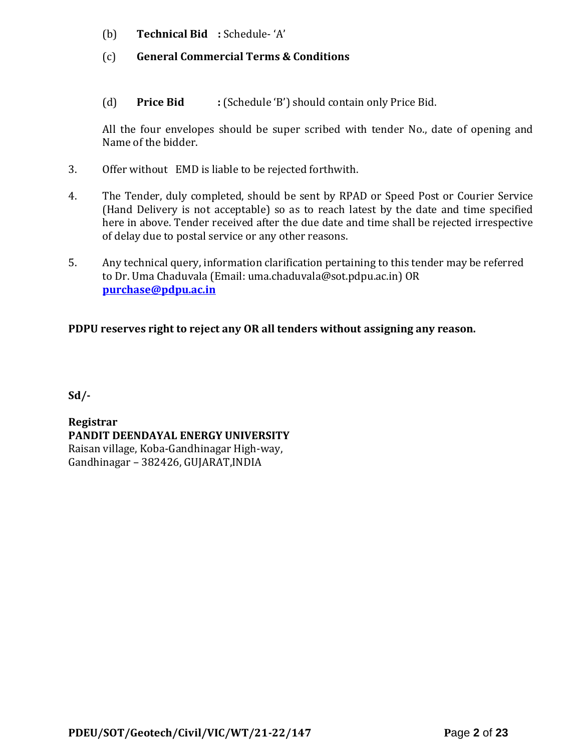- (b) **Technical Bid :** Schedule- 'A'
- (c) **General Commercial Terms & Conditions**
- (d) **Price Bid :** (Schedule 'B') should contain only Price Bid.

All the four envelopes should be super scribed with tender No., date of opening and Name of the bidder.

- 3. Offer without EMD is liable to be rejected forthwith.
- 4. The Tender, duly completed, should be sent by RPAD or Speed Post or Courier Service (Hand Delivery is not acceptable) so as to reach latest by the date and time specified here in above. Tender received after the due date and time shall be rejected irrespective of delay due to postal service or any other reasons.
- 5. Any technical query, information clarification pertaining to this tender may be referred to Dr. Uma Chaduvala (Email: uma.chaduvala@sot.pdpu.ac.in) OR **[purchase@pdpu.ac.in](mailto:purchase@pdpu.ac.in)**

## **PDPU reserves right to reject any OR all tenders without assigning any reason.**

**Sd/-**

**Registrar PANDIT DEENDAYAL ENERGY UNIVERSITY** Raisan village, Koba-Gandhinagar High-way, Gandhinagar – 382426, GUJARAT,INDIA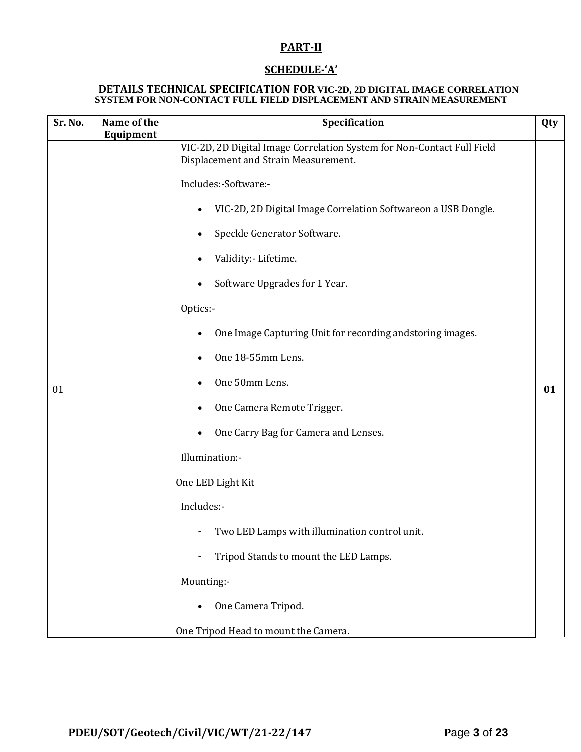### **PART-II**

### **SCHEDULE-'A'**

#### **DETAILS TECHNICAL SPECIFICATION FOR VIC-2D, 2D DIGITAL IMAGE CORRELATION SYSTEM FOR NON-CONTACT FULL FIELD DISPLACEMENT AND STRAIN MEASUREMENT**

| Sr. No. | Name of the | Specification                                                                                                                                                                                                                                                                                                                                                                                                                                                                                                                                                                                                                                                                      |           |
|---------|-------------|------------------------------------------------------------------------------------------------------------------------------------------------------------------------------------------------------------------------------------------------------------------------------------------------------------------------------------------------------------------------------------------------------------------------------------------------------------------------------------------------------------------------------------------------------------------------------------------------------------------------------------------------------------------------------------|-----------|
| 01      | Equipment   | VIC-2D, 2D Digital Image Correlation System for Non-Contact Full Field<br>Displacement and Strain Measurement.<br>Includes:-Software:-<br>VIC-2D, 2D Digital Image Correlation Softwareon a USB Dongle.<br>$\bullet$<br>Speckle Generator Software.<br>Validity: - Lifetime.<br>Software Upgrades for 1 Year.<br>Optics:-<br>One Image Capturing Unit for recording andstoring images.<br>$\bullet$<br>One 18-55mm Lens.<br>One 50mm Lens.<br>One Camera Remote Trigger.<br>One Carry Bag for Camera and Lenses.<br>Illumination:-<br>One LED Light Kit<br>Includes:-<br>Two LED Lamps with illumination control unit.<br>-<br>Tripod Stands to mount the LED Lamps.<br>Mounting:- | Qty<br>01 |
|         |             | One Camera Tripod.                                                                                                                                                                                                                                                                                                                                                                                                                                                                                                                                                                                                                                                                 |           |
|         |             | One Tripod Head to mount the Camera.                                                                                                                                                                                                                                                                                                                                                                                                                                                                                                                                                                                                                                               |           |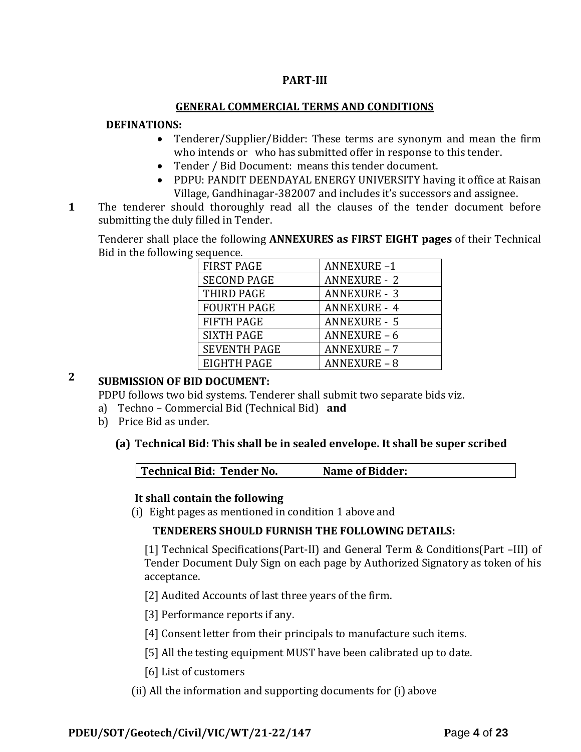### **PART-III**

#### **GENERAL COMMERCIAL TERMS AND CONDITIONS**

#### **DEFINATIONS:**

- Tenderer/Supplier/Bidder: These terms are synonym and mean the firm who intends or who has submitted offer in response to this tender.
- Tender / Bid Document: means this tender document.
- PDPU: PANDIT DEENDAYAL ENERGY UNIVERSITY having it office at Raisan Village, Gandhinagar-382007 and includes it's successors and assignee.
- **1**1. The tenderer should thoroughly read all the clauses of the tender document before submitting the duly filled in Tender.

Tenderer shall place the following **ANNEXURES as FIRST EIGHT pages** of their Technical Bid in the following sequence.

| <b>FIRST PAGE</b>   | <b>ANNEXURE-1</b>   |
|---------------------|---------------------|
| <b>SECOND PAGE</b>  | <b>ANNEXURE - 2</b> |
| THIRD PAGE          | <b>ANNEXURE - 3</b> |
| <b>FOURTH PAGE</b>  | <b>ANNEXURE - 4</b> |
| <b>FIFTH PAGE</b>   | <b>ANNEXURE - 5</b> |
| <b>SIXTH PAGE</b>   | <b>ANNEXURE - 6</b> |
| <b>SEVENTH PAGE</b> | <b>ANNEXURE - 7</b> |
| EIGHTH PAGE         | ANNEXURE – 8        |

## **2 SUBMISSION OF BID DOCUMENT:**

PDPU follows two bid systems. Tenderer shall submit two separate bids viz.

- a) Techno Commercial Bid (Technical Bid) **and**
- b) Price Bid as under.

### **(a) Technical Bid: This shall be in sealed envelope. It shall be super scribed**

| Technical Bid: Tender No.<br>Name of Bidder: |  |
|----------------------------------------------|--|
|----------------------------------------------|--|

### **It shall contain the following**

(i) Eight pages as mentioned in condition 1 above and

### **TENDERERS SHOULD FURNISH THE FOLLOWING DETAILS:**

[1] Technical Specifications(Part-II) and General Term & Conditions(Part –III) of Tender Document Duly Sign on each page by Authorized Signatory as token of his acceptance.

[2] Audited Accounts of last three years of the firm.

[3] Performance reports if any.

[4] Consent letter from their principals to manufacture such items.

[5] All the testing equipment MUST have been calibrated up to date.

[6] List of customers

(ii) All the information and supporting documents for (i) above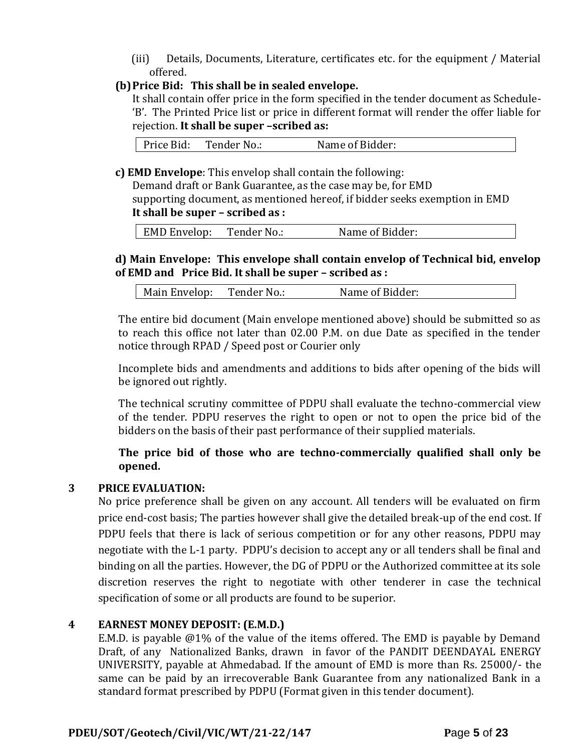(iii) Details, Documents, Literature, certificates etc. for the equipment / Material offered.

### **(b)Price Bid: This shall be in sealed envelope.**

It shall contain offer price in the form specified in the tender document as Schedule- 'B'. The Printed Price list or price in different format will render the offer liable for rejection. **It shall be super –scribed as:**

| Price Bid:<br>Tender No.: | Name of Bidder: |
|---------------------------|-----------------|
|---------------------------|-----------------|

**c) EMD Envelope**: This envelop shall contain the following:

Demand draft or Bank Guarantee, as the case may be, for EMD supporting document, as mentioned hereof, if bidder seeks exemption in EMD **It shall be super – scribed as :**

| EMD Envelop: Tender No.: Name of Bidder:

### **d) Main Envelope: This envelope shall contain envelop of Technical bid, envelop of EMD and Price Bid. It shall be super – scribed as :**

| Main Envelop: | Tender No.: | Name of Bidder: |
|---------------|-------------|-----------------|
|---------------|-------------|-----------------|

The entire bid document (Main envelope mentioned above) should be submitted so as to reach this office not later than 02.00 P.M. on due Date as specified in the tender notice through RPAD / Speed post or Courier only

Incomplete bids and amendments and additions to bids after opening of the bids will be ignored out rightly.

The technical scrutiny committee of PDPU shall evaluate the techno-commercial view of the tender. PDPU reserves the right to open or not to open the price bid of the bidders on the basis of their past performance of their supplied materials.

### **The price bid of those who are techno-commercially qualified shall only be opened.**

#### **3 PRICE EVALUATION:**

No price preference shall be given on any account. All tenders will be evaluated on firm price end-cost basis; The parties however shall give the detailed break-up of the end cost. If PDPU feels that there is lack of serious competition or for any other reasons, PDPU may negotiate with the L-1 party. PDPU's decision to accept any or all tenders shall be final and binding on all the parties. However, the DG of PDPU or the Authorized committee at its sole discretion reserves the right to negotiate with other tenderer in case the technical specification of some or all products are found to be superior.

#### **4 EARNEST MONEY DEPOSIT: (E.M.D.)**

E.M.D. is payable @1% of the value of the items offered. The EMD is payable by Demand Draft, of any Nationalized Banks, drawn in favor of the PANDIT DEENDAYAL ENERGY UNIVERSITY, payable at Ahmedabad. If the amount of EMD is more than Rs. 25000/- the same can be paid by an irrecoverable Bank Guarantee from any nationalized Bank in a standard format prescribed by PDPU (Format given in this tender document).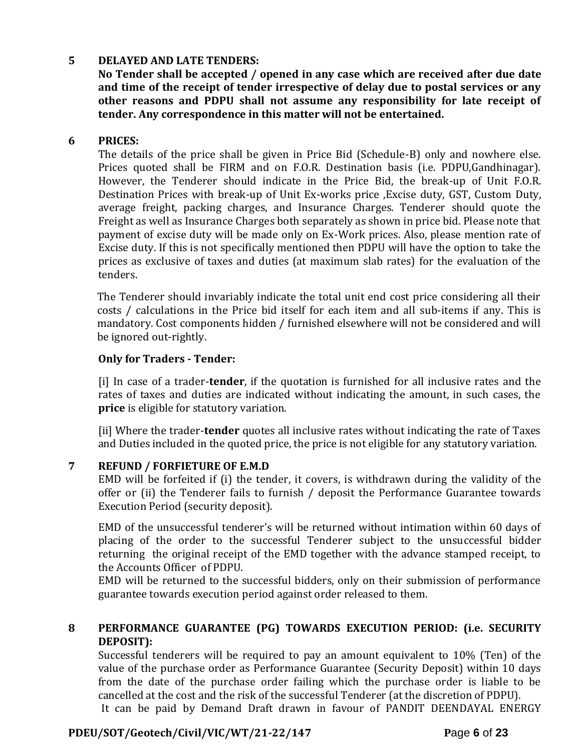### **5 DELAYED AND LATE TENDERS:**

**No Tender shall be accepted / opened in any case which are received after due date and time of the receipt of tender irrespective of delay due to postal services or any other reasons and PDPU shall not assume any responsibility for late receipt of tender. Any correspondence in this matter will not be entertained.**

#### **6 PRICES:**

The details of the price shall be given in Price Bid (Schedule-B) only and nowhere else. Prices quoted shall be FIRM and on F.O.R. Destination basis (i.e. PDPU,Gandhinagar). However, the Tenderer should indicate in the Price Bid, the break-up of Unit F.O.R. Destination Prices with break-up of Unit Ex-works price ,Excise duty, GST, Custom Duty, average freight, packing charges, and Insurance Charges. Tenderer should quote the Freight as well as Insurance Charges both separately as shown in price bid. Please note that payment of excise duty will be made only on Ex-Work prices. Also, please mention rate of Excise duty. If this is not specifically mentioned then PDPU will have the option to take the prices as exclusive of taxes and duties (at maximum slab rates) for the evaluation of the tenders.

The Tenderer should invariably indicate the total unit end cost price considering all their costs / calculations in the Price bid itself for each item and all sub-items if any. This is mandatory. Cost components hidden / furnished elsewhere will not be considered and will be ignored out-rightly.

#### **Only for Traders - Tender:**

[i] In case of a trader-**tender**, if the quotation is furnished for all inclusive rates and the rates of taxes and duties are indicated without indicating the amount, in such cases, the **price** is eligible for statutory variation.

[ii] Where the trader-**tender** quotes all inclusive rates without indicating the rate of Taxes and Duties included in the quoted price, the price is not eligible for any statutory variation.

#### **7 REFUND / FORFIETURE OF E.M.D**

EMD will be forfeited if (i) the tender, it covers, is withdrawn during the validity of the offer or (ii) the Tenderer fails to furnish / deposit the Performance Guarantee towards Execution Period (security deposit).

EMD of the unsuccessful tenderer's will be returned without intimation within 60 days of placing of the order to the successful Tenderer subject to the unsuccessful bidder returning the original receipt of the EMD together with the advance stamped receipt, to the Accounts Officer of PDPU.

EMD will be returned to the successful bidders, only on their submission of performance guarantee towards execution period against order released to them.

#### **8 PERFORMANCE GUARANTEE (PG) TOWARDS EXECUTION PERIOD: (i.e. SECURITY DEPOSIT):**

Successful tenderers will be required to pay an amount equivalent to 10% (Ten) of the value of the purchase order as Performance Guarantee (Security Deposit) within 10 days from the date of the purchase order failing which the purchase order is liable to be cancelled at the cost and the risk of the successful Tenderer (at the discretion of PDPU). It can be paid by Demand Draft drawn in favour of PANDIT DEENDAYAL ENERGY

**PDEU/SOT/Geotech/Civil/VIC/WT/21-22/147 P**age **6** of **23**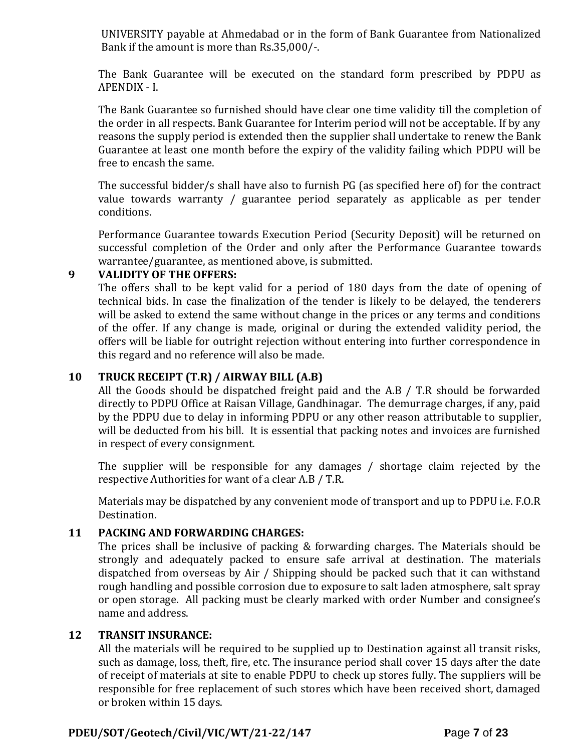UNIVERSITY payable at Ahmedabad or in the form of Bank Guarantee from Nationalized Bank if the amount is more than Rs.35,000/-.

The Bank Guarantee will be executed on the standard form prescribed by PDPU as APENDIX - I.

The Bank Guarantee so furnished should have clear one time validity till the completion of the order in all respects. Bank Guarantee for Interim period will not be acceptable. If by any reasons the supply period is extended then the supplier shall undertake to renew the Bank Guarantee at least one month before the expiry of the validity failing which PDPU will be free to encash the same.

The successful bidder/s shall have also to furnish PG (as specified here of) for the contract value towards warranty / guarantee period separately as applicable as per tender conditions.

Performance Guarantee towards Execution Period (Security Deposit) will be returned on successful completion of the Order and only after the Performance Guarantee towards warrantee/guarantee, as mentioned above, is submitted.

#### **9 VALIDITY OF THE OFFERS:**

The offers shall to be kept valid for a period of 180 days from the date of opening of technical bids. In case the finalization of the tender is likely to be delayed, the tenderers will be asked to extend the same without change in the prices or any terms and conditions of the offer. If any change is made, original or during the extended validity period, the offers will be liable for outright rejection without entering into further correspondence in this regard and no reference will also be made.

### **10 TRUCK RECEIPT (T.R) / AIRWAY BILL (A.B)**

All the Goods should be dispatched freight paid and the A.B / T.R should be forwarded directly to PDPU Office at Raisan Village, Gandhinagar. The demurrage charges, if any, paid by the PDPU due to delay in informing PDPU or any other reason attributable to supplier, will be deducted from his bill. It is essential that packing notes and invoices are furnished in respect of every consignment.

The supplier will be responsible for any damages / shortage claim rejected by the respective Authorities for want of a clear A.B / T.R.

Materials may be dispatched by any convenient mode of transport and up to PDPU i.e. F.O.R Destination.

### **11 PACKING AND FORWARDING CHARGES:**

The prices shall be inclusive of packing & forwarding charges. The Materials should be strongly and adequately packed to ensure safe arrival at destination. The materials dispatched from overseas by Air / Shipping should be packed such that it can withstand rough handling and possible corrosion due to exposure to salt laden atmosphere, salt spray or open storage. All packing must be clearly marked with order Number and consignee's name and address.

#### **12 TRANSIT INSURANCE:**

All the materials will be required to be supplied up to Destination against all transit risks, such as damage, loss, theft, fire, etc. The insurance period shall cover 15 days after the date of receipt of materials at site to enable PDPU to check up stores fully. The suppliers will be responsible for free replacement of such stores which have been received short, damaged or broken within 15 days.

### **PDEU/SOT/Geotech/Civil/VIC/WT/21-22/147 P**age **7** of **23**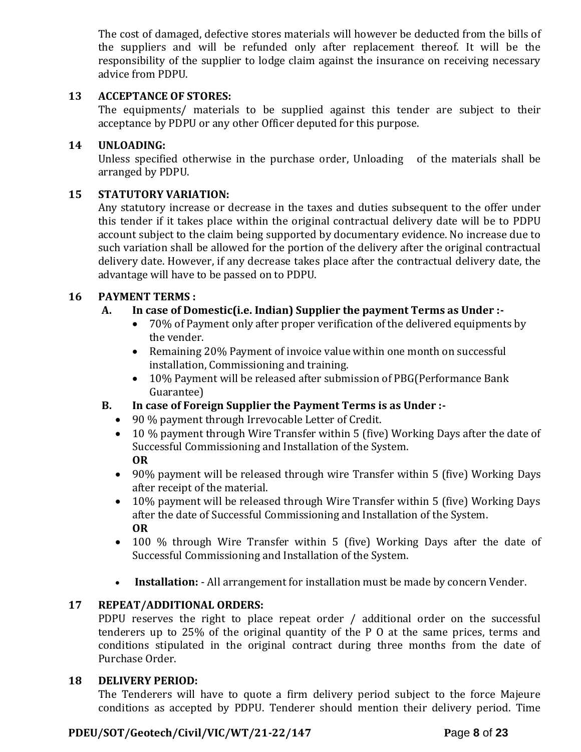The cost of damaged, defective stores materials will however be deducted from the bills of the suppliers and will be refunded only after replacement thereof. It will be the responsibility of the supplier to lodge claim against the insurance on receiving necessary advice from PDPU.

### **13 ACCEPTANCE OF STORES:**

The equipments/ materials to be supplied against this tender are subject to their acceptance by PDPU or any other Officer deputed for this purpose.

### **14 UNLOADING:**

Unless specified otherwise in the purchase order, Unloading of the materials shall be arranged by PDPU.

### **15 STATUTORY VARIATION:**

Any statutory increase or decrease in the taxes and duties subsequent to the offer under this tender if it takes place within the original contractual delivery date will be to PDPU account subject to the claim being supported by documentary evidence. No increase due to such variation shall be allowed for the portion of the delivery after the original contractual delivery date. However, if any decrease takes place after the contractual delivery date, the advantage will have to be passed on to PDPU.

### **16 PAYMENT TERMS :**

### **A. In case of Domestic(i.e. Indian) Supplier the payment Terms as Under :-**

- 70% of Payment only after proper verification of the delivered equipments by the vender.
- Remaining 20% Payment of invoice value within one month on successful installation, Commissioning and training.
- 10% Payment will be released after submission of PBG(Performance Bank Guarantee)

### **B. In case of Foreign Supplier the Payment Terms is as Under :-**

- 90 % payment through Irrevocable Letter of Credit.
- 10 % payment through Wire Transfer within 5 (five) Working Days after the date of Successful Commissioning and Installation of the System. **OR**
- 90% payment will be released through wire Transfer within 5 (five) Working Days after receipt of the material.
- 10% payment will be released through Wire Transfer within 5 (five) Working Days after the date of Successful Commissioning and Installation of the System. **OR**
- 100 % through Wire Transfer within 5 (five) Working Days after the date of Successful Commissioning and Installation of the System.
- **Installation:** All arrangement for installation must be made by concern Vender.

### **17 REPEAT/ADDITIONAL ORDERS:**

PDPU reserves the right to place repeat order / additional order on the successful tenderers up to 25% of the original quantity of the P O at the same prices, terms and conditions stipulated in the original contract during three months from the date of Purchase Order.

#### **18 DELIVERY PERIOD:**

The Tenderers will have to quote a firm delivery period subject to the force Majeure conditions as accepted by PDPU. Tenderer should mention their delivery period. Time

### **PDEU/SOT/Geotech/Civil/VIC/WT/21-22/147 P**age **8** of **23**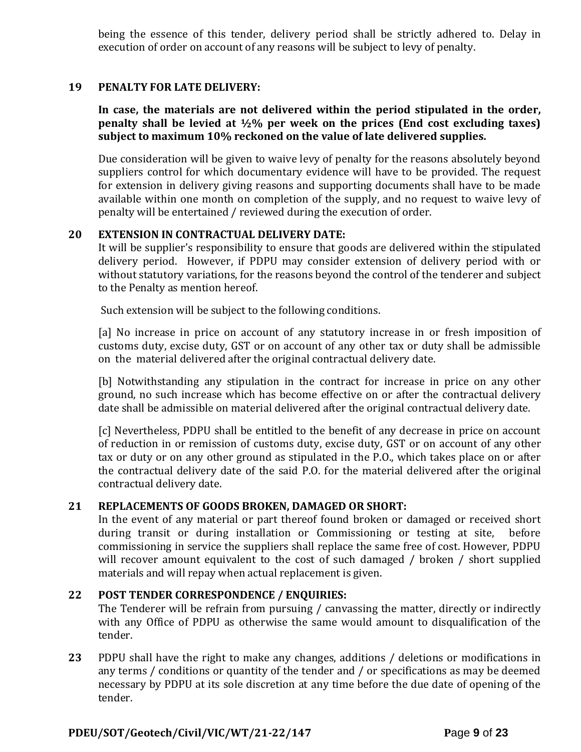being the essence of this tender, delivery period shall be strictly adhered to. Delay in execution of order on account of any reasons will be subject to levy of penalty.

#### **19 PENALTY FOR LATE DELIVERY:**

**In case, the materials are not delivered within the period stipulated in the order, penalty shall be levied at ½% per week on the prices (End cost excluding taxes) subject to maximum 10% reckoned on the value of late delivered supplies.**

Due consideration will be given to waive levy of penalty for the reasons absolutely beyond suppliers control for which documentary evidence will have to be provided. The request for extension in delivery giving reasons and supporting documents shall have to be made available within one month on completion of the supply, and no request to waive levy of penalty will be entertained / reviewed during the execution of order.

#### **20 EXTENSION IN CONTRACTUAL DELIVERY DATE:**

It will be supplier's responsibility to ensure that goods are delivered within the stipulated delivery period. However, if PDPU may consider extension of delivery period with or without statutory variations, for the reasons beyond the control of the tenderer and subject to the Penalty as mention hereof.

Such extension will be subject to the following conditions.

[a] No increase in price on account of any statutory increase in or fresh imposition of customs duty, excise duty, GST or on account of any other tax or duty shall be admissible on the material delivered after the original contractual delivery date.

[b] Notwithstanding any stipulation in the contract for increase in price on any other ground, no such increase which has become effective on or after the contractual delivery date shall be admissible on material delivered after the original contractual delivery date.

[c] Nevertheless, PDPU shall be entitled to the benefit of any decrease in price on account of reduction in or remission of customs duty, excise duty, GST or on account of any other tax or duty or on any other ground as stipulated in the P.O., which takes place on or after the contractual delivery date of the said P.O. for the material delivered after the original contractual delivery date.

#### **21 REPLACEMENTS OF GOODS BROKEN, DAMAGED OR SHORT:**

In the event of any material or part thereof found broken or damaged or received short during transit or during installation or Commissioning or testing at site, before commissioning in service the suppliers shall replace the same free of cost. However, PDPU will recover amount equivalent to the cost of such damaged / broken / short supplied materials and will repay when actual replacement is given.

#### **22 POST TENDER CORRESPONDENCE / ENQUIRIES:**

The Tenderer will be refrain from pursuing / canvassing the matter, directly or indirectly with any Office of PDPU as otherwise the same would amount to disqualification of the tender.

**23** PDPU shall have the right to make any changes, additions / deletions or modifications in any terms / conditions or quantity of the tender and / or specifications as may be deemed necessary by PDPU at its sole discretion at any time before the due date of opening of the tender.

#### **PDEU/SOT/Geotech/Civil/VIC/WT/21-22/147 P**age **9** of **23**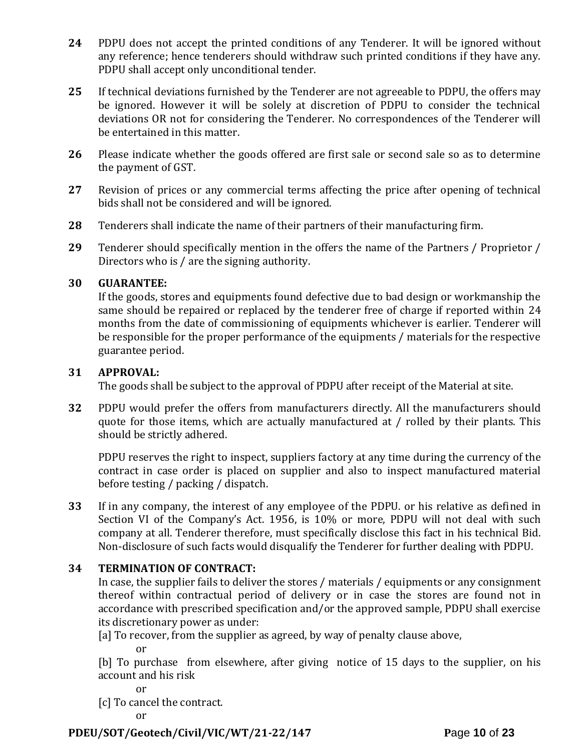- **24** PDPU does not accept the printed conditions of any Tenderer. It will be ignored without any reference; hence tenderers should withdraw such printed conditions if they have any. PDPU shall accept only unconditional tender.
- **25** If technical deviations furnished by the Tenderer are not agreeable to PDPU, the offers may be ignored. However it will be solely at discretion of PDPU to consider the technical deviations OR not for considering the Tenderer. No correspondences of the Tenderer will be entertained in this matter.
- **26** Please indicate whether the goods offered are first sale or second sale so as to determine the payment of GST.
- **27** Revision of prices or any commercial terms affecting the price after opening of technical bids shall not be considered and will be ignored.
- **28** Tenderers shall indicate the name of their partners of their manufacturing firm.
- **29** Tenderer should specifically mention in the offers the name of the Partners / Proprietor / Directors who is / are the signing authority.

#### **30 GUARANTEE:**

If the goods, stores and equipments found defective due to bad design or workmanship the same should be repaired or replaced by the tenderer free of charge if reported within 24 months from the date of commissioning of equipments whichever is earlier. Tenderer will be responsible for the proper performance of the equipments / materials for the respective guarantee period.

### **31 APPROVAL:**

The goods shall be subject to the approval of PDPU after receipt of the Material at site.

**32** PDPU would prefer the offers from manufacturers directly. All the manufacturers should quote for those items, which are actually manufactured at / rolled by their plants. This should be strictly adhered.

PDPU reserves the right to inspect, suppliers factory at any time during the currency of the contract in case order is placed on supplier and also to inspect manufactured material before testing / packing / dispatch.

**33** If in any company, the interest of any employee of the PDPU. or his relative as defined in Section VI of the Company's Act. 1956, is 10% or more, PDPU will not deal with such company at all. Tenderer therefore, must specifically disclose this fact in his technical Bid. Non-disclosure of such facts would disqualify the Tenderer for further dealing with PDPU.

### **34 TERMINATION OF CONTRACT:**

In case, the supplier fails to deliver the stores / materials / equipments or any consignment thereof within contractual period of delivery or in case the stores are found not in accordance with prescribed specification and/or the approved sample, PDPU shall exercise its discretionary power as under:

[a] To recover, from the supplier as agreed, by way of penalty clause above,

or

[b] To purchase from elsewhere, after giving notice of 15 days to the supplier, on his account and his risk

or

[c] To cancel the contract.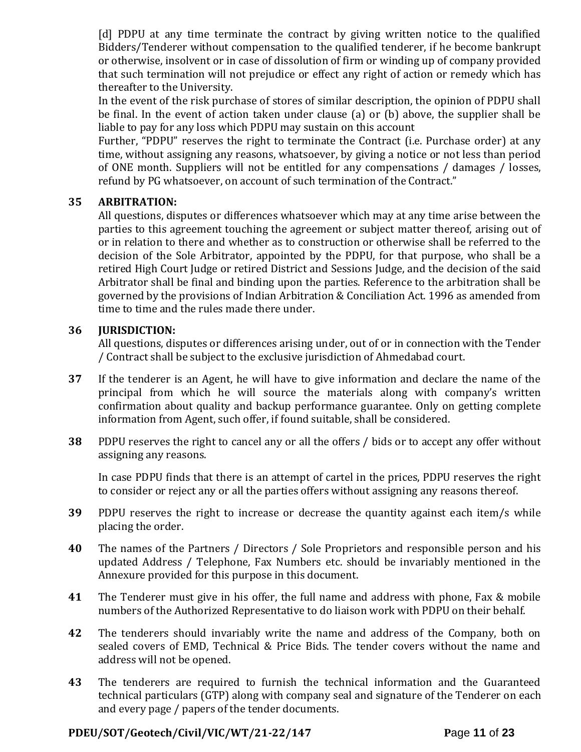[d] PDPU at any time terminate the contract by giving written notice to the qualified Bidders/Tenderer without compensation to the qualified tenderer, if he become bankrupt or otherwise, insolvent or in case of dissolution of firm or winding up of company provided that such termination will not prejudice or effect any right of action or remedy which has thereafter to the University.

In the event of the risk purchase of stores of similar description, the opinion of PDPU shall be final. In the event of action taken under clause (a) or (b) above, the supplier shall be liable to pay for any loss which PDPU may sustain on this account

Further, "PDPU" reserves the right to terminate the Contract (i.e. Purchase order) at any time, without assigning any reasons, whatsoever, by giving a notice or not less than period of ONE month. Suppliers will not be entitled for any compensations / damages / losses, refund by PG whatsoever, on account of such termination of the Contract."

### **35 ARBITRATION:**

All questions, disputes or differences whatsoever which may at any time arise between the parties to this agreement touching the agreement or subject matter thereof, arising out of or in relation to there and whether as to construction or otherwise shall be referred to the decision of the Sole Arbitrator, appointed by the PDPU, for that purpose, who shall be a retired High Court Judge or retired District and Sessions Judge, and the decision of the said Arbitrator shall be final and binding upon the parties. Reference to the arbitration shall be governed by the provisions of Indian Arbitration & Conciliation Act. 1996 as amended from time to time and the rules made there under.

#### **36 JURISDICTION:**

All questions, disputes or differences arising under, out of or in connection with the Tender / Contract shall be subject to the exclusive jurisdiction of Ahmedabad court.

- **37** If the tenderer is an Agent, he will have to give information and declare the name of the principal from which he will source the materials along with company's written confirmation about quality and backup performance guarantee. Only on getting complete information from Agent, such offer, if found suitable, shall be considered.
- **38** PDPU reserves the right to cancel any or all the offers / bids or to accept any offer without assigning any reasons.

In case PDPU finds that there is an attempt of cartel in the prices, PDPU reserves the right to consider or reject any or all the parties offers without assigning any reasons thereof.

- **39** PDPU reserves the right to increase or decrease the quantity against each item/s while placing the order.
- **40** The names of the Partners / Directors / Sole Proprietors and responsible person and his updated Address / Telephone, Fax Numbers etc. should be invariably mentioned in the Annexure provided for this purpose in this document.
- **41** The Tenderer must give in his offer, the full name and address with phone, Fax & mobile numbers of the Authorized Representative to do liaison work with PDPU on their behalf.
- **42** The tenderers should invariably write the name and address of the Company, both on sealed covers of EMD, Technical & Price Bids. The tender covers without the name and address will not be opened.
- **43** The tenderers are required to furnish the technical information and the Guaranteed technical particulars (GTP) along with company seal and signature of the Tenderer on each and every page / papers of the tender documents.

#### **PDEU/SOT/Geotech/Civil/VIC/WT/21-22/147 P**age **11** of **23**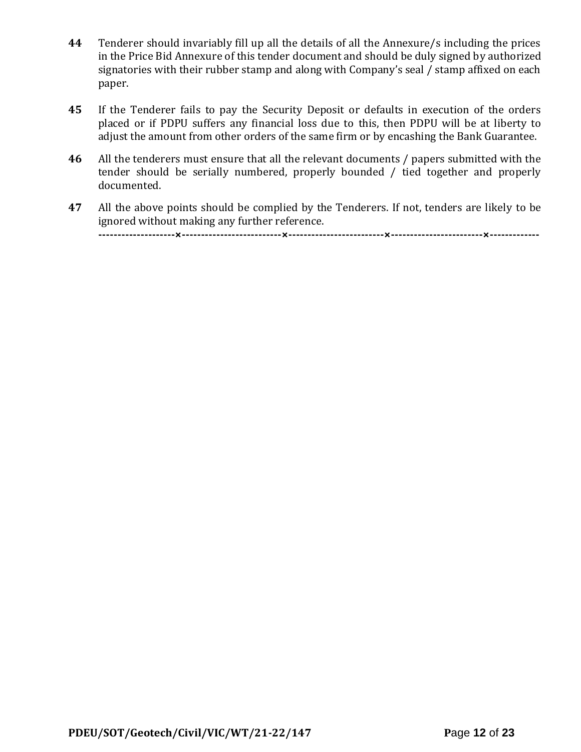- **44** Tenderer should invariably fill up all the details of all the Annexure/s including the prices in the Price Bid Annexure of this tender document and should be duly signed by authorized signatories with their rubber stamp and along with Company's seal / stamp affixed on each paper.
- **45** If the Tenderer fails to pay the Security Deposit or defaults in execution of the orders placed or if PDPU suffers any financial loss due to this, then PDPU will be at liberty to adjust the amount from other orders of the same firm or by encashing the Bank Guarantee.
- **46** All the tenderers must ensure that all the relevant documents / papers submitted with the tender should be serially numbered, properly bounded / tied together and properly documented.
- **47** All the above points should be complied by the Tenderers. If not, tenders are likely to be ignored without making any further reference. **--------------------×--------------------------×-------------------------×------------------------×-------------**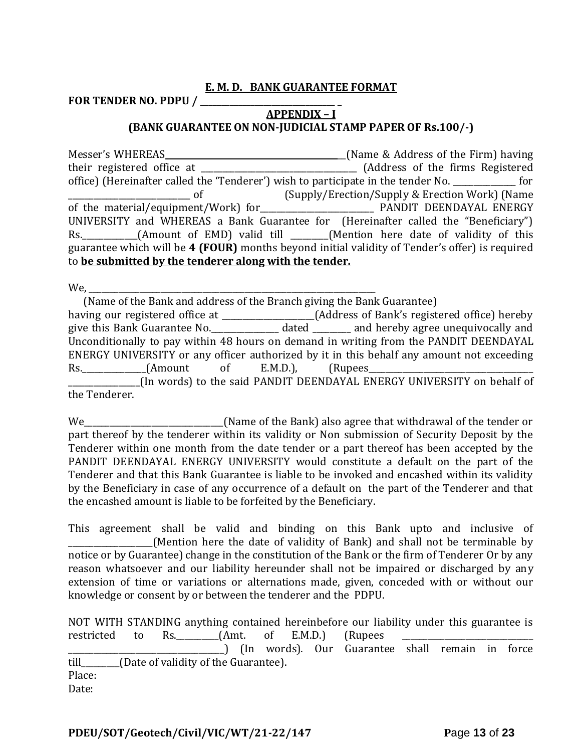#### **E. M. D. BANK GUARANTEE FORMAT**

**FOR TENDER NO. PDPU / \_\_\_\_\_\_\_\_\_\_\_\_\_\_\_\_\_\_\_\_\_\_\_\_\_\_\_\_\_\_\_\_ \_**

### **APPENDIX – I (BANK GUARANTEE ON NON-JUDICIAL STAMP PAPER OF Rs.100/-)**

Messer's WHEREAS \_\_\_\_\_\_\_\_\_\_\_\_\_\_\_\_\_\_\_\_\_\_\_\_\_\_\_\_\_\_\_\_\_\_\_\_\_\_\_\_\_\_(Name & Address of the Firm) having their registered office at \_\_\_\_\_\_\_\_\_\_\_\_\_\_\_\_\_\_\_\_\_\_\_\_\_\_\_\_\_\_\_\_\_\_\_\_\_ (Address of the firms Registered office) (Hereinafter called the 'Tenderer') wish to participate in the tender No. \_\_\_\_\_\_\_\_\_\_\_\_\_\_\_ for \_\_\_\_\_\_\_\_\_\_\_\_\_\_\_\_\_\_\_\_\_\_\_\_\_\_\_\_\_ of (Supply/Erection/Supply & Erection Work) (Name of the material/equipment/Work) for\_\_\_\_\_\_\_\_\_\_\_\_\_\_\_\_\_\_\_\_\_\_\_\_\_\_\_ PANDIT DEENDAYAL ENERGY UNIVERSITY and WHEREAS a Bank Guarantee for (Hereinafter called the "Beneficiary") Rs. \_\_\_\_\_\_\_\_\_\_(Amount of EMD) valid till \_\_\_\_\_\_(Mention here date of validity of this guarantee which will be **4 (FOUR)** months beyond initial validity of Tender's offer) is required to **be submitted by the tenderer along with the tender.**

We,

 (Name of the Bank and address of the Branch giving the Bank Guarantee) having our registered office at \_\_\_\_\_\_\_\_\_\_\_\_\_\_\_\_\_\_\_\_(Address of Bank's registered office) hereby give this Bank Guarantee No.\_\_\_\_\_\_\_\_\_\_\_\_\_\_\_\_ dated \_\_\_\_\_\_\_\_\_ and hereby agree unequivocally and Unconditionally to pay within 48 hours on demand in writing from the PANDIT DEENDAYAL ENERGY UNIVERSITY or any officer authorized by it in this behalf any amount not exceeding Rs.\_\_\_\_\_\_\_\_\_\_\_\_\_\_\_(Amount of E.M.D.), (Rupees\_\_\_\_\_\_\_\_\_\_\_\_\_\_\_\_\_\_\_\_\_\_\_\_\_\_\_\_\_\_\_\_\_\_\_\_\_\_\_ \_\_\_\_\_\_\_\_\_\_\_\_\_\_\_\_\_(In words) to the said PANDIT DEENDAYAL ENERGY UNIVERSITY on behalf of the Tenderer.

We\_\_\_\_\_\_\_\_\_\_\_\_\_\_\_\_\_\_\_\_\_\_\_\_\_\_\_\_\_\_\_\_\_\_(Name of the Bank) also agree that withdrawal of the tender or part thereof by the tenderer within its validity or Non submission of Security Deposit by the Tenderer within one month from the date tender or a part thereof has been accepted by the PANDIT DEENDAYAL ENERGY UNIVERSITY would constitute a default on the part of the Tenderer and that this Bank Guarantee is liable to be invoked and encashed within its validity by the Beneficiary in case of any occurrence of a default on the part of the Tenderer and that the encashed amount is liable to be forfeited by the Beneficiary.

This agreement shall be valid and binding on this Bank upto and inclusive of \_\_\_\_\_\_\_\_\_\_\_\_\_\_\_\_\_\_\_\_(Mention here the date of validity of Bank) and shall not be terminable by notice or by Guarantee) change in the constitution of the Bank or the firm of Tenderer Or by any reason whatsoever and our liability hereunder shall not be impaired or discharged by any extension of time or variations or alternations made, given, conceded with or without our knowledge or consent by or between the tenderer and the PDPU.

|        |  | NOT WITH STANDING anything contained hereinbefore our liability under this guarantee is |  |  |  |  |
|--------|--|-----------------------------------------------------------------------------------------|--|--|--|--|
|        |  | restricted to Rs. (Amt. of E.M.D.) (Rupees                                              |  |  |  |  |
|        |  |                                                                                         |  |  |  |  |
|        |  | till (Date of validity of the Guarantee).                                               |  |  |  |  |
| Place: |  |                                                                                         |  |  |  |  |
| Date:  |  |                                                                                         |  |  |  |  |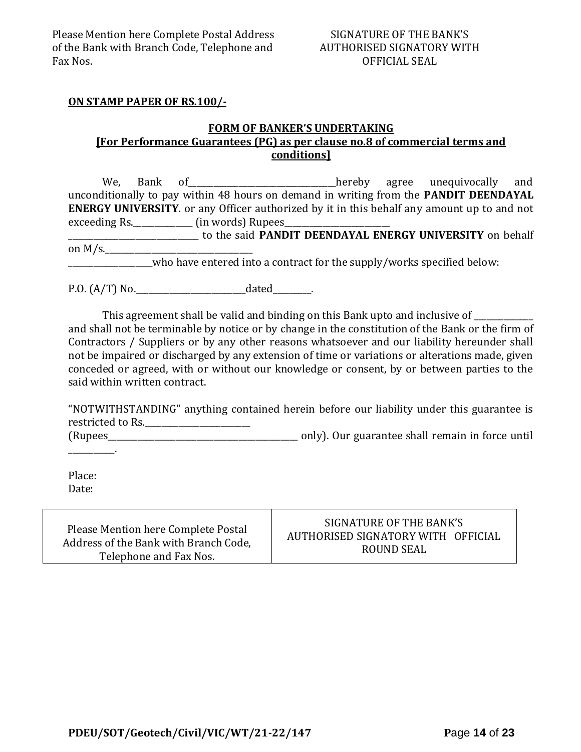#### SIGNATURE OF THE BANK'S AUTHORISED SIGNATORY WITH OFFICIAL SEAL

#### **ON STAMP PAPER OF RS.100/-**

#### **FORM OF BANKER'S UNDERTAKING [For Performance Guarantees (PG) as per clause no.8 of commercial terms and conditions]**

We, Bank of\_\_\_\_\_\_\_\_\_\_\_\_\_\_\_\_\_\_\_\_\_\_\_\_\_\_\_\_\_\_\_\_\_\_\_hereby agree unequivocally and unconditionally to pay within 48 hours on demand in writing from the **PANDIT DEENDAYAL ENERGY UNIVERSITY**. or any Officer authorized by it in this behalf any amount up to and not exceeding Rs.\_\_\_\_\_\_\_\_\_\_\_\_\_\_\_\_\_\_\_ (in words) Rupees\_ \_\_\_\_\_\_\_\_\_\_\_\_\_\_\_\_\_\_\_\_\_\_\_\_\_\_\_\_\_\_\_ to the said **PANDIT DEENDAYAL ENERGY UNIVERSITY** on behalf on  $M/s$ .

who have entered into a contract for the supply/works specified below:

P.O. (A/T) No.\_\_\_\_\_\_\_\_\_\_\_\_\_\_\_\_\_\_\_\_\_\_\_\_\_\_dated\_\_\_\_\_\_\_\_\_.

This agreement shall be valid and binding on this Bank upto and inclusive of and shall not be terminable by notice or by change in the constitution of the Bank or the firm of Contractors / Suppliers or by any other reasons whatsoever and our liability hereunder shall not be impaired or discharged by any extension of time or variations or alterations made, given conceded or agreed, with or without our knowledge or consent, by or between parties to the said within written contract.

"NOTWITHSTANDING" anything contained herein before our liability under this guarantee is restricted to Rs.\_\_\_\_\_\_\_\_\_\_\_\_\_\_\_\_\_\_\_\_\_\_\_\_\_ (Rupees\_\_\_\_\_\_\_\_\_\_\_\_\_\_\_\_\_\_\_\_\_\_\_\_\_\_\_\_\_\_\_\_\_\_\_\_\_\_\_\_\_\_\_\_\_ only). Our guarantee shall remain in force until

Place: Date:

\_\_\_\_\_\_\_\_\_\_\_.

| Please Mention here Complete Postal   | SIGNATURE OF THE BANK'S            |
|---------------------------------------|------------------------------------|
| Address of the Bank with Branch Code, | AUTHORISED SIGNATORY WITH OFFICIAL |
| Telephone and Fax Nos.                | ROUND SEAL                         |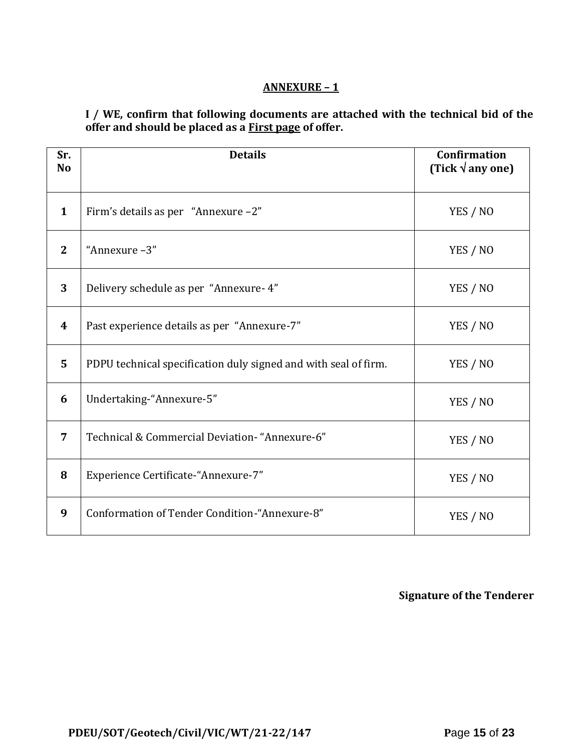### **ANNEXURE – 1**

**I / WE, confirm that following documents are attached with the technical bid of the offer and should be placed as a First page of offer.**

| Sr.<br>N <sub>o</sub> | <b>Details</b>                                                  | <b>Confirmation</b><br>(Tick $\sqrt{$ any one) |
|-----------------------|-----------------------------------------------------------------|------------------------------------------------|
| $\mathbf{1}$          | Firm's details as per "Annexure -2"                             | YES / NO                                       |
| $\mathbf{2}$          | "Annexure-3"                                                    | YES / NO                                       |
| 3                     | Delivery schedule as per "Annexure- 4"                          | YES / NO                                       |
| $\boldsymbol{4}$      | Past experience details as per "Annexure-7"                     | YES / NO                                       |
| 5                     | PDPU technical specification duly signed and with seal of firm. | YES / NO                                       |
| 6                     | Undertaking-"Annexure-5"                                        | YES / NO                                       |
| 7                     | Technical & Commercial Deviation- "Annexure-6"                  | YES / NO                                       |
| 8                     | Experience Certificate-"Annexure-7"                             | YES / NO                                       |
| 9                     | Conformation of Tender Condition-"Annexure-8"                   | YES / NO                                       |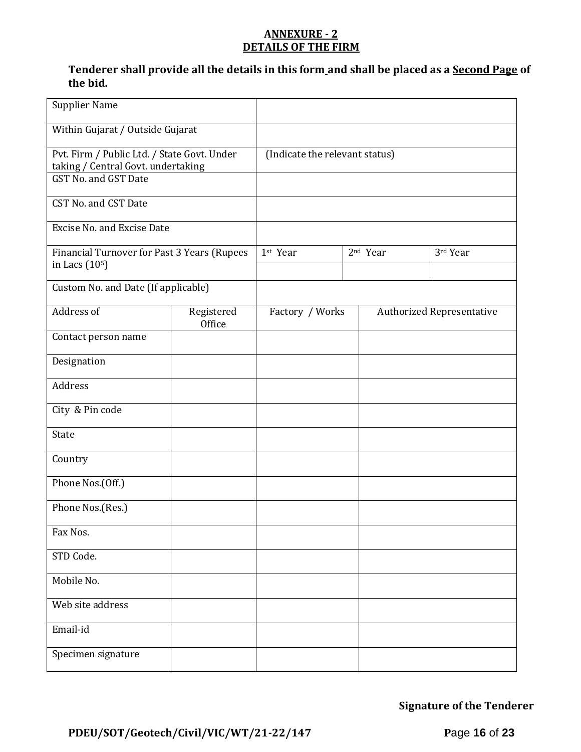### **ANNEXURE - 2 DETAILS OF THE FIRM**

### **Tenderer shall provide all the details in this form and shall be placed as a Second Page of the bid.**

| <b>Supplier Name</b>                                                                                      |                      |                                |                      |                                  |
|-----------------------------------------------------------------------------------------------------------|----------------------|--------------------------------|----------------------|----------------------------------|
| Within Gujarat / Outside Gujarat                                                                          |                      |                                |                      |                                  |
| Pvt. Firm / Public Ltd. / State Govt. Under<br>taking / Central Govt. undertaking<br>GST No. and GST Date |                      | (Indicate the relevant status) |                      |                                  |
| CST No. and CST Date                                                                                      |                      |                                |                      |                                  |
| <b>Excise No. and Excise Date</b>                                                                         |                      |                                |                      |                                  |
| Financial Turnover for Past 3 Years (Rupees<br>in Lacs (10 <sup>5</sup> )                                 |                      | 1st Year                       | 2 <sup>nd</sup> Year | 3rd Year                         |
| Custom No. and Date (If applicable)                                                                       |                      |                                |                      |                                  |
| Address of                                                                                                | Registered<br>Office | Factory / Works                |                      | <b>Authorized Representative</b> |
| Contact person name                                                                                       |                      |                                |                      |                                  |
| Designation                                                                                               |                      |                                |                      |                                  |
| Address                                                                                                   |                      |                                |                      |                                  |
| City & Pin code                                                                                           |                      |                                |                      |                                  |
| State                                                                                                     |                      |                                |                      |                                  |
| Country                                                                                                   |                      |                                |                      |                                  |
| Phone Nos.(Off.)                                                                                          |                      |                                |                      |                                  |
| Phone Nos.(Res.)                                                                                          |                      |                                |                      |                                  |
| Fax Nos.                                                                                                  |                      |                                |                      |                                  |
| STD Code.                                                                                                 |                      |                                |                      |                                  |
| Mobile No.                                                                                                |                      |                                |                      |                                  |
| Web site address                                                                                          |                      |                                |                      |                                  |
| Email-id                                                                                                  |                      |                                |                      |                                  |
| Specimen signature                                                                                        |                      |                                |                      |                                  |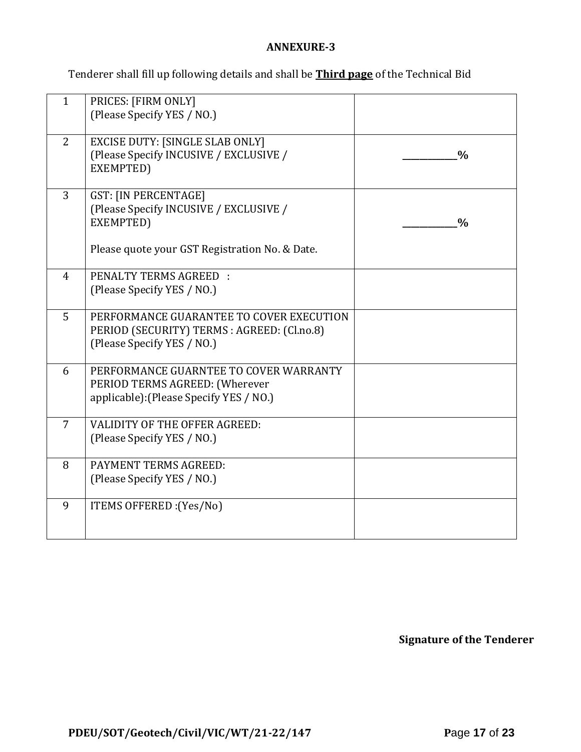### **ANNEXURE-3**

Tenderer shall fill up following details and shall be **Third page** of the Technical Bid

| $\mathbf{1}$   | PRICES: [FIRM ONLY]<br>(Please Specify YES / NO.)                                                                                    |               |
|----------------|--------------------------------------------------------------------------------------------------------------------------------------|---------------|
| 2              | <b>EXCISE DUTY: [SINGLE SLAB ONLY]</b><br>(Please Specify INCUSIVE / EXCLUSIVE /<br>EXEMPTED)                                        | $\frac{0}{0}$ |
| 3              | <b>GST: [IN PERCENTAGE]</b><br>(Please Specify INCUSIVE / EXCLUSIVE /<br>EXEMPTED)<br>Please quote your GST Registration No. & Date. | $\frac{0}{0}$ |
| $\overline{4}$ | PENALTY TERMS AGREED :<br>(Please Specify YES / NO.)                                                                                 |               |
| 5              | PERFORMANCE GUARANTEE TO COVER EXECUTION<br>PERIOD (SECURITY) TERMS : AGREED: (Cl.no.8)<br>(Please Specify YES / NO.)                |               |
| 6              | PERFORMANCE GUARNTEE TO COVER WARRANTY<br>PERIOD TERMS AGREED: (Wherever<br>applicable): (Please Specify YES / NO.)                  |               |
| $\overline{7}$ | <b>VALIDITY OF THE OFFER AGREED:</b><br>(Please Specify YES / NO.)                                                                   |               |
| 8              | PAYMENT TERMS AGREED:<br>(Please Specify YES / NO.)                                                                                  |               |
| 9              | ITEMS OFFERED : (Yes/No)                                                                                                             |               |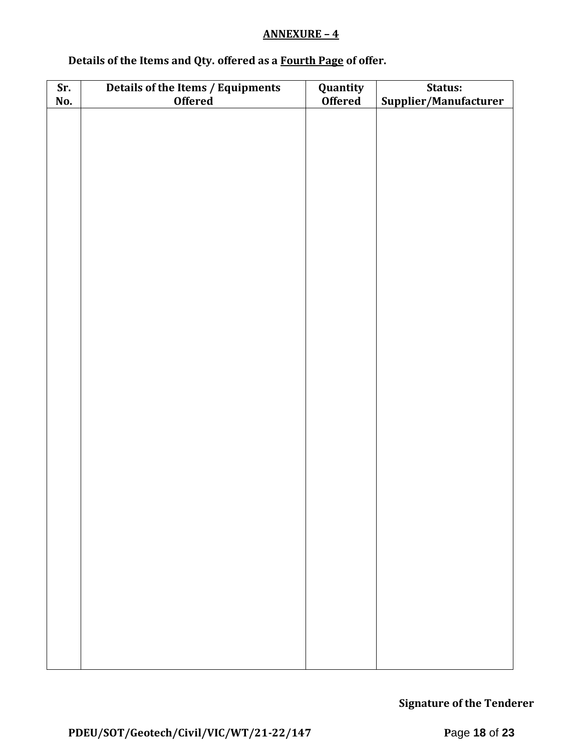### **ANNEXURE – 4**

# **Details of the Items and Qty. offered as a Fourth Page of offer.**

| Sr. | Details of the Items / Equipments | Quantity       | Status:               |  |  |
|-----|-----------------------------------|----------------|-----------------------|--|--|
| No. | <b>Offered</b>                    | <b>Offered</b> | Supplier/Manufacturer |  |  |
|     |                                   |                |                       |  |  |
|     |                                   |                |                       |  |  |
|     |                                   |                |                       |  |  |
|     |                                   |                |                       |  |  |
|     |                                   |                |                       |  |  |
|     |                                   |                |                       |  |  |
|     |                                   |                |                       |  |  |
|     |                                   |                |                       |  |  |
|     |                                   |                |                       |  |  |
|     |                                   |                |                       |  |  |
|     |                                   |                |                       |  |  |
|     |                                   |                |                       |  |  |
|     |                                   |                |                       |  |  |
|     |                                   |                |                       |  |  |
|     |                                   |                |                       |  |  |
|     |                                   |                |                       |  |  |
|     |                                   |                |                       |  |  |
|     |                                   |                |                       |  |  |
|     |                                   |                |                       |  |  |
|     |                                   |                |                       |  |  |
|     |                                   |                |                       |  |  |
|     |                                   |                |                       |  |  |
|     |                                   |                |                       |  |  |
|     |                                   |                |                       |  |  |
|     |                                   |                |                       |  |  |
|     |                                   |                |                       |  |  |
|     |                                   |                |                       |  |  |
|     |                                   |                |                       |  |  |
|     |                                   |                |                       |  |  |
|     |                                   |                |                       |  |  |
|     |                                   |                |                       |  |  |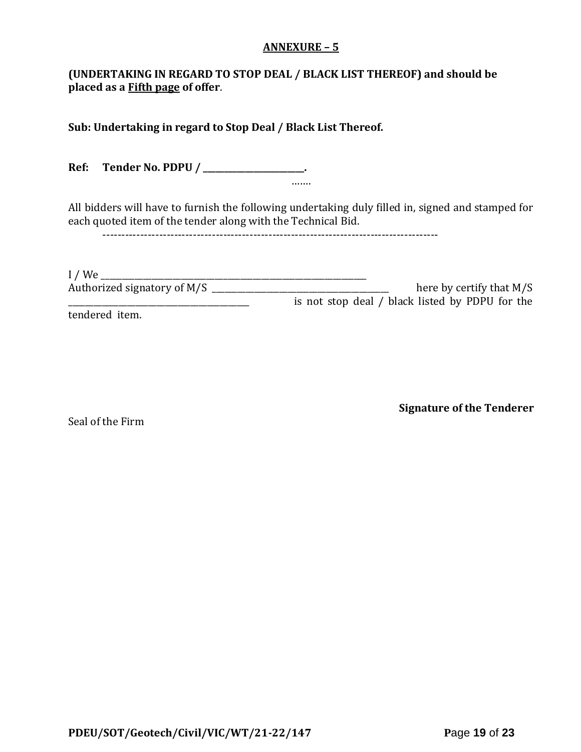#### **ANNEXURE – 5**

### **(UNDERTAKING IN REGARD TO STOP DEAL / BLACK LIST THEREOF) and should be placed as a Fifth page of offer**.

**Sub: Undertaking in regard to Stop Deal / Black List Thereof.**

**Ref: Tender No. PDPU / \_\_\_\_\_\_\_\_\_\_\_\_\_\_\_\_\_\_\_\_\_\_\_\_.** …….

All bidders will have to furnish the following undertaking duly filled in, signed and stamped for each quoted item of the tender along with the Technical Bid.

-----------------------------------------------------------------------------------------

| $I$ / We                    |                                                 |
|-----------------------------|-------------------------------------------------|
| Authorized signatory of M/S | here by certify that $M/S$                      |
|                             | is not stop deal / black listed by PDPU for the |
| tendered item.              |                                                 |

Seal of the Firm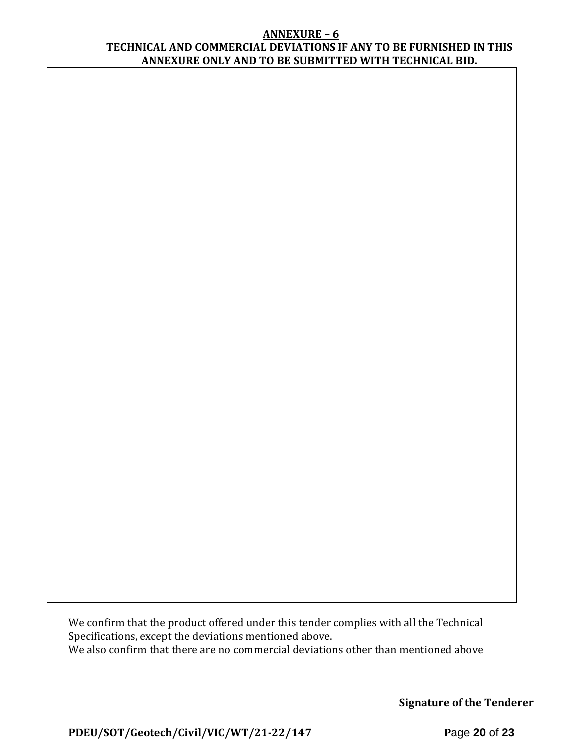#### **ANNEXURE – 6 TECHNICAL AND COMMERCIAL DEVIATIONS IF ANY TO BE FURNISHED IN THIS ANNEXURE ONLY AND TO BE SUBMITTED WITH TECHNICAL BID.**

We confirm that the product offered under this tender complies with all the Technical Specifications, except the deviations mentioned above. We also confirm that there are no commercial deviations other than mentioned above

**Signature of the Tenderer**

**PDEU/SOT/Geotech/Civil/VIC/WT/21-22/147 P**age **20** of **23**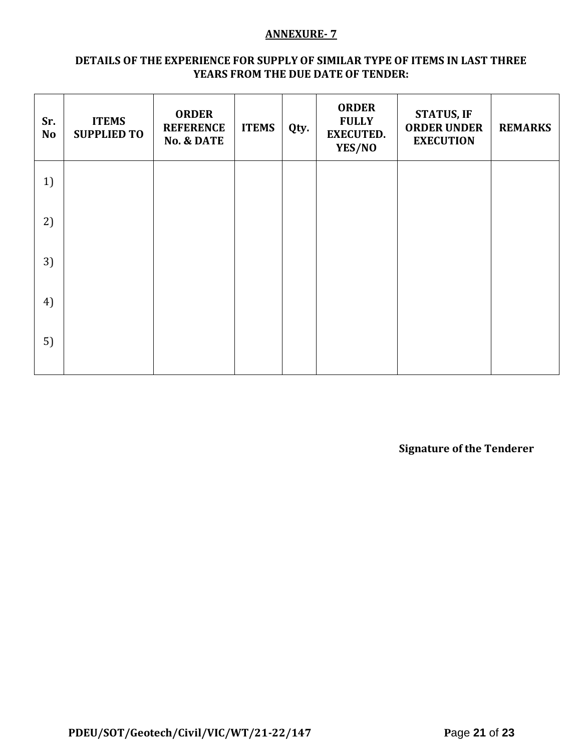#### **ANNEXURE- 7**

#### **DETAILS OF THE EXPERIENCE FOR SUPPLY OF SIMILAR TYPE OF ITEMS IN LAST THREE YEARS FROM THE DUE DATE OF TENDER:**

| Sr.<br><b>No</b> | <b>ITEMS</b><br><b>SUPPLIED TO</b> | <b>ORDER</b><br><b>REFERENCE</b><br><b>No. &amp; DATE</b> | <b>ITEMS</b> | Qty. | <b>ORDER</b><br><b>FULLY</b><br><b>EXECUTED.</b><br>YES/NO | <b>STATUS, IF</b><br><b>ORDER UNDER</b><br><b>EXECUTION</b> | <b>REMARKS</b> |
|------------------|------------------------------------|-----------------------------------------------------------|--------------|------|------------------------------------------------------------|-------------------------------------------------------------|----------------|
| 1)               |                                    |                                                           |              |      |                                                            |                                                             |                |
| 2)               |                                    |                                                           |              |      |                                                            |                                                             |                |
| 3)               |                                    |                                                           |              |      |                                                            |                                                             |                |
| 4)               |                                    |                                                           |              |      |                                                            |                                                             |                |
| 5)               |                                    |                                                           |              |      |                                                            |                                                             |                |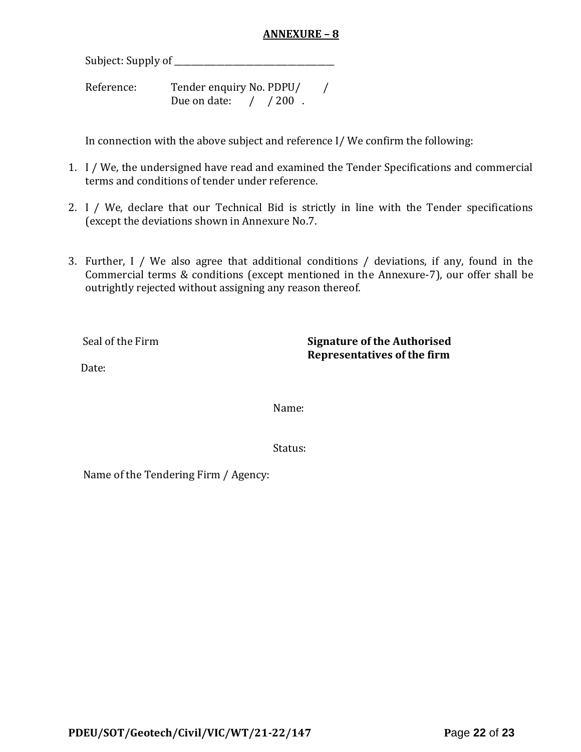### **ANNEXURE – 8**

Subject: Supply of \_\_\_\_\_\_\_\_\_\_\_\_\_\_\_\_\_\_\_\_\_\_\_\_\_\_\_\_\_\_\_\_\_\_\_\_\_\_

Reference: Tender enquiry No. PDPU/ / Due on date: / / 200.

In connection with the above subject and reference I/ We confirm the following:

- 1. I / We, the undersigned have read and examined the Tender Specifications and commercial terms and conditions of tender under reference.
- 2. I / We, declare that our Technical Bid is strictly in line with the Tender specifications (except the deviations shown in Annexure No.7.
- 3. Further, I / We also agree that additional conditions / deviations, if any, found in the Commercial terms & conditions (except mentioned in the Annexure-7), our offer shall be outrightly rejected without assigning any reason thereof.

Seal of the Firm **Signature of the Authorised Representatives of the firm**

Date:

Name:

Status:

Name of the Tendering Firm / Agency: